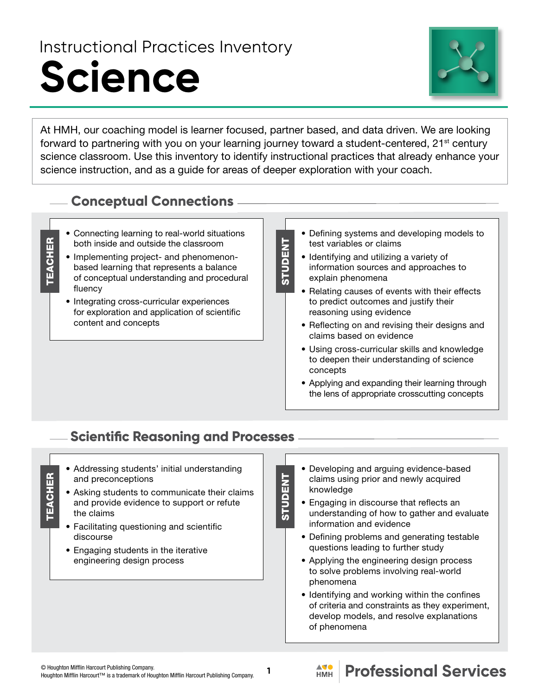# Instructional Practices Inventory **Science**



At HMH, our coaching model is learner focused, partner based, and data driven. We are looking forward to partnering with you on your learning journey toward a student-centered, 21<sup>st</sup> century science classroom. Use this inventory to identify instructional practices that already enhance your science instruction, and as a guide for areas of deeper exploration with your coach.

STUDENT

**STUDENT** 

## **Conceptual Connections**

- Connecting learning to real-world situations both inside and outside the classroom
- Implementing project- and phenomenonbased learning that represents a balance of conceptual understanding and procedural fluency

**TEACHER** 

**TEACHER** 

- Integrating cross-curricular experiences for exploration and application of scientific content and concepts
- Defining systems and developing models to test variables or claims
- Identifying and utilizing a variety of information sources and approaches to explain phenomena
- Relating causes of events with their effects to predict outcomes and justify their reasoning using evidence
- Reflecting on and revising their designs and claims based on evidence
- Using cross-curricular skills and knowledge to deepen their understanding of science concepts
- Applying and expanding their learning through the lens of appropriate crosscutting concepts

## **Scientific Reasoning and Processes**

- Addressing students' initial understanding and preconceptions
- Asking students to communicate their claims and provide evidence to support or refute the claims
- Facilitating questioning and scientific discourse
- Engaging students in the iterative engineering design process
- Developing and arguing evidence-based claims using prior and newly acquired knowledge
- Engaging in discourse that reflects an understanding of how to gather and evaluate information and evidence
	- Defining problems and generating testable questions leading to further study
	- Applying the engineering design process to solve problems involving real-world phenomena
- Identifying and working within the confines of criteria and constraints as they experiment, develop models, and resolve explanations of phenomena

**1**